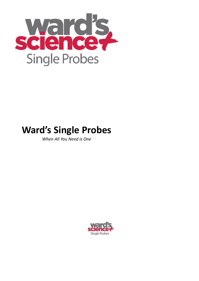

# **Ward's Single Probes**

*When All You Need is One*

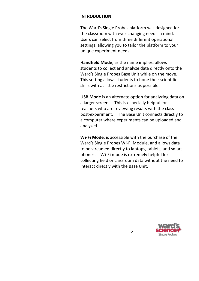#### **INTRODUCTION**

The Ward's Single Probes platform was designed for the classroom with ever-changing needs in mind. Users can select from three different operational settings, allowing you to tailor the platform to your unique experiment needs.

**Handheld Mode**, as the name implies, allows students to collect and analyze data directly onto the Ward's Single Probes Base Unit while on the move. This setting allows students to hone their scientific skills with as little restrictions as possible.

**USB Mode** is an alternate option for analyzing data on a larger screen. This is especially helpful for teachers who are reviewing results with the class post-experiment. The Base Unit connects directly to a computer where experiments can be uploaded and analyzed.

**Wi-Fi Mode**, is accessible with the purchase of the Ward's Single Probes Wi-Fi Module, and allows data to be streamed directly to laptops, tablets, and smart phones. Wi-Fi mode is extremely helpful for collecting field or classroom data without the need to interact directly with the Base Unit.

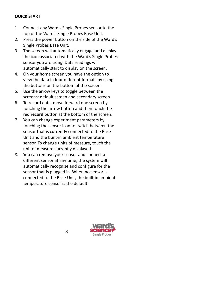#### **QUICK START**

- 1. Connect any Ward's Single Probes sensor to the top of the Ward's Single Probes Base Unit.
- 2. Press the power button on the side of the Ward's Single Probes Base Unit.
- 3. The screen will automatically engage and display the icon associated with the Ward's Single Probes sensor you are using. Data readings will automatically start to display on the screen.
- 4. On your home screen you have the option to view the data in four different formats by using the buttons on the bottom of the screen.
- 5. Use the arrow keys to toggle between the screens: default screen and secondary screen.
- 6. To record data, move forward one screen by touching the arrow button and then touch the red **record** button at the bottom of the screen.
- 7. You can change experiment parameters by touching the sensor icon to switch between the sensor that is currently connected to the Base Unit and the built-in ambient temperature sensor. To change units of measure, touch the unit of measure currently displayed.
- 8. You can remove your sensor and connect a different sensor at any time; the system will automatically recognize and configure for the sensor that is plugged in. When no sensor is connected to the Base Unit, the built-in ambient temperature sensor is the default.

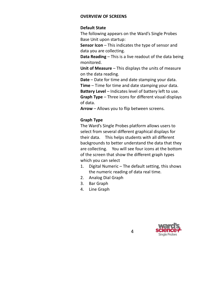#### **OVERVIEW OF SCREENS**

#### **Default State**

The following appears on the Ward's Single Probes Base Unit upon startup:

**Sensor Icon** – This indicates the type of sensor and data you are collecting.

**Data Reading** – This is a live readout of the data being monitored.

**Unit of Measure** – This displays the units of measure on the data reading.

**Date** – Date for time and date stamping your data.

**Time** – Time for time and date stamping your data.

**Battery Level** – Indicates level of battery left to use. **Graph Type** – Three icons for different visual displays of data.

**Arrow** – Allows you to flip between screens.

#### **Graph Type**

The Ward's Single Probes platform allows users to select from several different graphical displays for their data. This helps students with all different backgrounds to better understand the data that they are collecting. You will see four icons at the bottom of the screen that show the different graph types which you can select

- 1. Digital Numeric The default setting, this shows the numeric reading of data real time.
- 2. Analog Dial Graph
- 3. Bar Graph
- 4. Line Graph

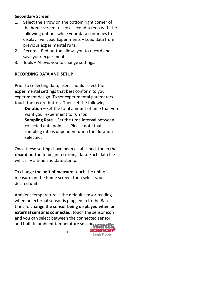#### **Secondary Screen**

- 1. Select the arrow on the bottom right corner of the home screen to see a second screen with the following options while your data continues to display live: Load Experiments – Load data from previous experimental runs.
- 2. Record Red button allows you to record and save your experiment
- 3. Tools Allows you to change settings.

# **RECORDING DATA AND SETUP**

Prior to collecting data, users should select the experimental settings that best conform to your experiment design. To set experimental parameters touch the record button. Then set the following

**Duration –** Set the total amount of time that you want your experiment to run for. **Sampling Rate** – Set the time interval between collected data points. Please note that sampling rate is dependent upon the duration selected.

Once these settings have been established, touch the **record** button to begin recording data. Each data file will carry a time and date stamp.

To change the **unit of measure** touch the unit of measure on the home screen, then select your desired unit.

Ambient temperature is the default sensor reading when no external sensor is plugged in to the Base Unit. To **change the sensor being displayed when an external sensor is connected,** touch the sensor icon and you can select between the connected sensor and built-in ambient temperature sensor.

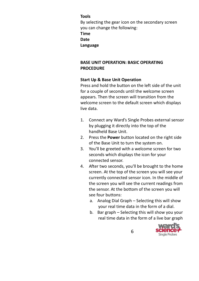# **Tools**

By selecting the gear icon on the secondary screen you can change the following: **Time Date Language**

# **BASE UNIT OPERATION: BASIC OPERATING PROCEDURE**

#### **Start Up & Base Unit Operation**

Press and hold the button on the left side of the unit for a couple of seconds until the welcome screen appears. Then the screen will transition from the welcome screen to the default screen which displays live data.

- 1. Connect any Ward's Single Probes external sensor by plugging it directly into the top of the handheld Base Unit.
- 2. Press the **Power** button located on the right side of the Base Unit to turn the system on.
- 3. You'll be greeted with a welcome screen for two seconds which displays the icon for your connected sensor.
- 4. After two seconds, you'll be brought to the home screen. At the top of the screen you will see your currently connected sensor icon. In the middle of the screen you will see the current readings from the sensor. At the bottom of the screen you will see four buttons:
	- a. Analog Dial Graph Selecting this will show your real time data in the form of a dial.
	- b. Bar graph Selecting this will show you your real time data in the form of a live bar graph

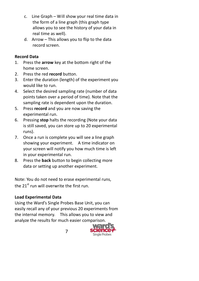- c. Line Graph Will show your real time data in the form of a line graph (this graph type allows you to see the history of your data in real time as well).
- d. Arrow This allows you to flip to the data record screen.

# **Record Data**

- 1. Press the **arrow** key at the bottom right of the home screen.
- 2. Press the red **record** button.
- 3. Enter the duration (length) of the experiment you would like to run.
- 4. Select the desired sampling rate (number of data points taken over a period of time). Note that the sampling rate is dependent upon the duration.
- 5. Press **record** and you are now saving the experimental run.
- 6. Pressing **stop** halts the recording (Note your data is still saved, you can store up to 20 experimental runs).
- 7. Once a run is complete you will see a line graph showing your experiment. A time indicator on your screen will notify you how much time is left in your experimental run.
- 8. Press the **back** button to begin collecting more data or setting up another experiment.

Note: You do not need to erase experimental runs, the  $21<sup>st</sup>$  run will overwrite the first run.

# **Load Experimental Data**

Using the Ward's Single Probes Base Unit, you can easily recall any of your previous 20 experiments from the internal memory. This allows you to view and analyze the results for much easier comparison.

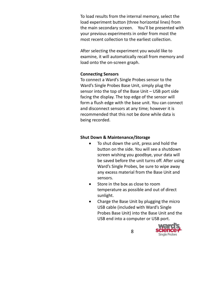To load results from the internal memory, select the load experiment button (three horizontal lines) from the main secondary screen. You'll be presented with your previous experiments in order from most the most recent collection to the earliest collection.

After selecting the experiment you would like to examine, it will automatically recall from memory and load onto the on-screen graph.

#### **Connecting Sensors**

To connect a Ward's Single Probes sensor to the Ward's Single Probes Base Unit, simply plug the sensor into the top of the Base Unit – USB port side facing the display. The top edge of the sensor will form a flush edge with the base unit. You can connect and disconnect sensors at any time; however it is recommended that this not be done while data is being recorded.

#### **Shut Down & Maintenance/Storage**

- To shut down the unit, press and hold the button on the side. You will see a shutdown screen wishing you goodbye, your data will be saved before the unit turns off. After using Ward's Single Probes, be sure to wipe away any excess material from the Base Unit and sensors.
- Store in the box as close to room temperature as possible and out of direct sunlight.
- Charge the Base Unit by plugging the micro USB cable (included with Ward's Single Probes Base Unit) into the Base Unit and the USB end into a computer or USB port.

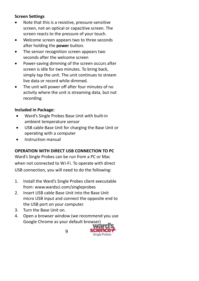# **Screen Settings**

- Note that this is a resistive, pressure-sensitive screen, not an optical or capacitive screen. The screen reacts to the pressure of your touch.
- Welcome screen appears two to three seconds after holding the **power** button.
- The sensor recognition screen appears two seconds after the welcome screen
- Power-saving dimming of the screen occurs after screen is idle for two minutes. To bring back, simply tap the unit. The unit continues to stream live data or record while dimmed.
- The unit will power off after four minutes of no activity where the unit is streaming data, but not recording.

# **Included in Package:**

- Ward's Single Probes Base Unit with built-in ambient temperature sensor
- USB cable Base Unit for charging the Base Unit or operating with a computer
- Instruction manual

# **OPERATION WITH DIRECT USB CONNECTION TO PC**

Ward's Single Probes can be run from a PC or Mac when not connected to Wi-Fi. To operate with direct USB connection, you will need to do the following:

- 1. Install the Ward's Single Probes client executable from: www.wardsci.com/singleprobes
- 2. Insert USB cable Base Unit into the Base Unit micro USB input and connect the opposite end to the USB port on your computer.
- 3. Turn the Base Unit on.
- 4. Open a browser window (we recommend you use Google Chrome as your default browser)

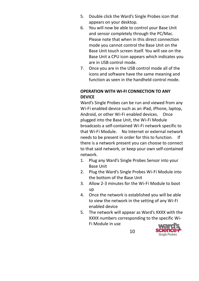- 5. Double click the Ward's Single Probes icon that appears on your desktop.
- 6. You will now be able to control your Base Unit and sensor completely through the PC/Mac. Please note that when in this direct connection mode you cannot control the Base Unit on the Base Unit touch screen itself. You will see on the Base Unit a CPU icon appears which indicates you are in USB control mode.
- 7. Once you are in the USB control mode all of the icons and software have the same meaning and function as seen in the handheld control mode.

#### **OPERATION WITH WI-FI CONNECTION TO ANY DEVICE**

Ward's Single Probes can be run and viewed from any Wi-Fi enabled device such as an iPad, iPhone, laptop, Android, or other Wi-Fi enabled devices. Once plugged into the Base Unit, the Wi-Fi Module broadcasts a self-contained Wi-Fi network specific to that Wi-Fi Module. No Internet or external network needs to be present in order for this to function. If there is a network present you can choose to connect to that said network, or keep your own self-contained network.

- 1. Plug any Ward's Single Probes Sensor into your Base Unit
- 2. Plug the Ward's Single Probes Wi-Fi Module into the bottom of the Base Unit
- 3. Allow 2-3 minutes for the Wi-Fi Module to boot up
- 4. Once the network is established you will be able to view the network in the setting of any Wi-Fi enabled device
- 5. The network will appear as Ward's XXXX with the XXXX numbers corresponding to the specific Wi-Fi Module in use

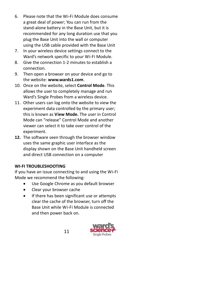- 6. Please note that the Wi-Fi Module does consume a great deal of power; You can run from the stand-alone battery in the Base Unit, but it is recommended for any long duration use that you plug the Base Unit into the wall or computer using the USB cable provided with the Base Unit
- 7. In your wireless device settings connect to the Ward's network specific to your Wi-Fi Module.
- 8. Give the connection 1-2 minutes to establish a connection.
- 9. Then open a browser on your device and go to the website: **www.wards1.com**.
- 10. Once on the website, select **Control Mode**. This allows the user to completely manage and run Ward's Single Probes from a wireless device.
- 11. Other users can log onto the website to view the experiment data controlled by the primary user; this is known as **View Mode.** The user in Control Mode can "release" Control Mode and another viewer can select it to take over control of the experiment.
- **12.** The software seen through the browser window uses the same graphic user interface as the display shown on the Base Unit handheld screen and direct USB connection on a computer

# **WI-FI TROUBLESHOOTING**

If you have an issue connecting to and using the Wi-Fi Mode we recommend the following:

- Use Google Chrome as you default browser
- Clear your browser cache
- If there has been significant use or attempts clear the cache of the browser, turn off the Base Unit while Wi-Fi Module is connected and then power back on.

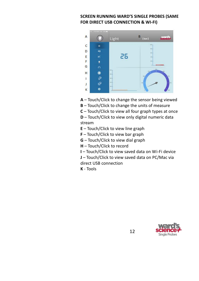# **SCREEN RUNNING WARD'S SINGLE PROBES (SAME FOR DIRECT USB CONNECTION & WI-FI)**



- **A** Touch/Click to change the sensor being viewed
- **B** Touch/Click to change the units of measure
- **C** Touch/Click to view all four graph types at once

**D** – Touch/Click to view only digital numeric data stream

- **E** Touch/Click to view line graph
- **F** Touch/Click to view bar graph
- **G** Touch/Click to view dial graph
- **H** Touch/Click to record
- **I** Touch/Click to view saved data on Wi-Fi device
- **J** Touch/Click to view saved data on PC/Mac via direct USB connection
- **K** Tools

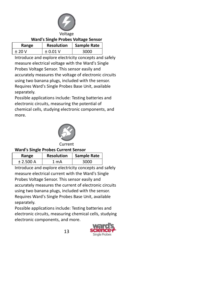

#### **Ward's Single Probes Voltage Sensor**

| Range  | <b>Resolution</b> | Sample Rate |
|--------|-------------------|-------------|
| $+20V$ | $\pm 0.01$ V      | จกกก        |

Introduce and explore electricity concepts and safely measure electrical voltage with the Ward's Single Probes Voltage Sensor. This sensor easily and accurately measures the voltage of electronic circuits using two banana plugs, included with the sensor. Requires Ward's Single Probes Base Unit, available separately.

Possible applications include: Testing batteries and electronic circuits, measuring the potential of chemical cells, studying electronic components, and more.



Current

#### **Ward's Single Probes Current Sensor**

| Range      | <b>Resolution</b> | <b>Sample Rate</b> |
|------------|-------------------|--------------------|
| $+2.500 A$ | 1 m A             | จกกก               |

Introduce and explore electricity concepts and safely measure electrical current with the Ward's Single Probes Voltage Sensor. This sensor easily and accurately measures the current of electronic circuits using two banana plugs, included with the sensor. Requires Ward's Single Probes Base Unit, available separately.

Possible applications include: Testing batteries and electronic circuits, measuring chemical cells, studying electronic components, and more.

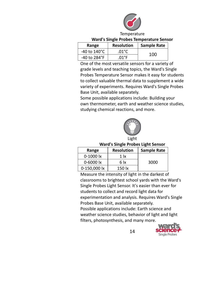

#### **Ward's Single Probes Temperature Sensor**

| Range                  | <b>Resolution</b> | <b>Sample Rate</b> |
|------------------------|-------------------|--------------------|
| -40 to $140^{\circ}$ C | .01°C             | 100                |
| -40 to 284°F           | .01°F             |                    |

One of the most versatile sensors for a variety of grade levels and teaching topics, the Ward's Single Probes Temperature Sensor makes it easy for students to collect valuable thermal data to supplement a wide variety of experiments. Requires Ward's Single Probes Base Unit, available separately.

Some possible applications include: Building your own thermometer, earth and weather science studies, studying chemical reactions, and more.



Light

#### **Ward's Single Probes Light Sensor**

| Range                    | <b>Resolution</b> | <b>Sample Rate</b> |
|--------------------------|-------------------|--------------------|
| $0-1000$ $\mathsf{lx}$   | 1 lx              |                    |
| $0 - 6000$ $\mathsf{lx}$ | 6 lx              | 3000               |
| 0-150,000 lx             | 150 lx            |                    |

Measure the intensity of light in the darkest of classrooms to brightest school yards with the Ward's Single Probes Light Sensor. It's easier than ever for students to collect and record light data for experimentation and analysis. Requires Ward's Single Probes Base Unit, available separately. Possible applications include: Earth science and weather science studies, behavior of light and light filters, photosynthesis, and many more.

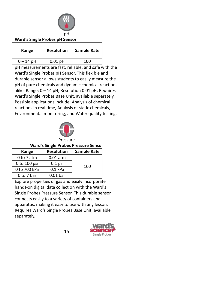

#### **Ward's Single Probes pH Sensor**

| Range       | <b>Resolution</b> | Sample Rate |
|-------------|-------------------|-------------|
| $0 - 14$ pH | $0.01$ pH         | 100         |

pH measurements are fast, reliable, and safe with the Ward's Single Probes pH Sensor. This flexible and durable sensor allows students to easily measure the pH of pure chemicals and dynamic chemical reactions alike. Range: 0 – 14 pH; Resolution 0.01 pH. Requires Ward's Single Probes Base Unit, available separately. Possible applications include: Analysis of chemical reactions in real time, Analysis of static chemicals, Environmental monitoring, and Water quality testing.



# **Ward's Single Probes Pressure Sensor**

| Range          | <b>Resolution</b> | <b>Sample Rate</b> |
|----------------|-------------------|--------------------|
| $0$ to $7$ atm | $0.01$ atm        |                    |
| 0 to 100 psi   | $0.1$ psi         | 100                |
| 0 to 700 kPa   | $0.1$ kPa         |                    |
| 0 to 7 bar     | $0.01$ bar        |                    |

Explore properties of gas and easily incorporate hands-on digital data collection with the Ward's Single Probes Pressure Sensor. This durable sensor connects easily to a variety of containers and apparatus, making it easy to use with any lesson. Requires Ward's Single Probes Base Unit, available separately.

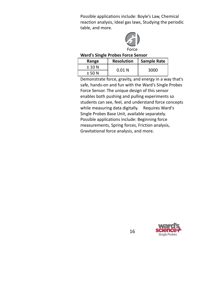Possible applications include: Boyle's Law, Chemical reaction analysis, Ideal gas laws, Studying the periodic table, and more.



#### **Ward's Single Probes Force Sensor**

| Range  | <b>Resolution</b> | <b>Sample Rate</b> |
|--------|-------------------|--------------------|
| ± 10 N | 0.01N             | 3000               |
| ± 50 N |                   |                    |

Demonstrate force, gravity, and energy in a way that's safe, hands-on and fun with the Ward's Single Probes Force Sensor. The unique design of this sensor enables both pushing and pulling experiments so students can see, feel, and understand force concepts while measuring data digitally. Requires Ward's Single Probes Base Unit, available separately. Possible applications include: Beginning force measurements, Spring forces, Friction analysis, Gravitational force analysis, and more.

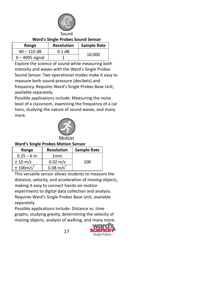

#### **Ward's Single Probes Sound Sensor**

| Range             | <b>Resolution</b> | <b>Sample Rate</b> |
|-------------------|-------------------|--------------------|
| $40 - 110$ dB     | $0.1$ dB          |                    |
| $0 - 4095$ signal |                   | 10,000             |

Explore the science of sound while measuring both intensity and waves with the Ward's Single Probes Sound Sensor. Two operational modes make it easy to measure both sound-pressure (decibels) and frequency. Requires Ward's Single Probes Base Unit, available separately.

Possible applications include: Measuring the noise level of a classroom, examining the frequency of a car horn, studying the nature of sound waves, and many more.



# **Ward's Single Probes Motion Sensor**

| Range                  | <b>Resolution</b>    | <b>Sample Rate</b> |
|------------------------|----------------------|--------------------|
| $0.25 - 6$ m           | 1 <sub>mm</sub>      |                    |
| ± 10 m/s               | $0.02 \; \text{m/s}$ | 100                |
| ± 100 m/s <sup>2</sup> | $0.08 \text{ m/s}^2$ |                    |

This versatile sensor allows students to measure the distance, velocity, and acceleration of moving objects, making it easy to connect hands-on motion experiments to digital data collection and analysis. Requires Ward's Single Probes Base Unit, available separately.

Possible applications include: Distance vs. time graphs, studying gravity, determining the velocity of moving objects, analysis of walking, and many more.

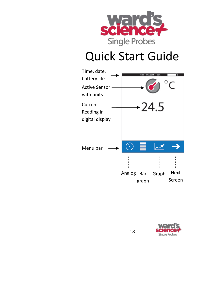

# Quick Start Guide



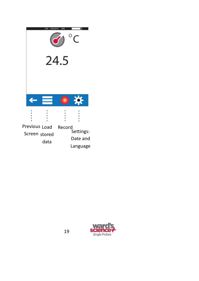